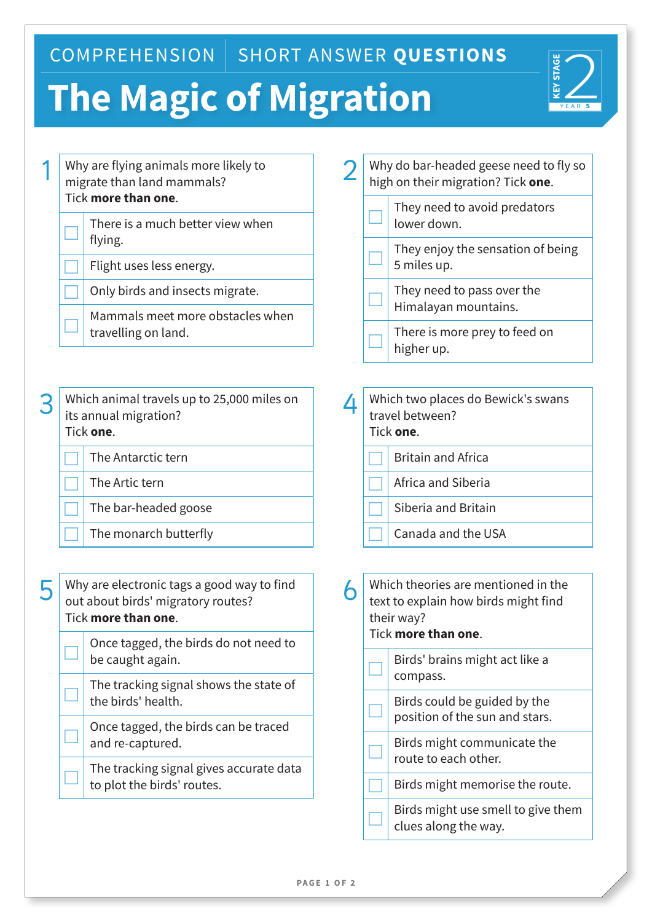COMPREHENSION | SHORT ANSWER QUESTIONS

## **The Magic of Migration**



|   | Why are flying animals more likely to<br>migrate than land mammals?<br>Tick more than one.              |   | Why do bar-headed geese need to fly so<br>high on their migration? Tick one.                                    |
|---|---------------------------------------------------------------------------------------------------------|---|-----------------------------------------------------------------------------------------------------------------|
|   | There is a much better view when<br>flying.                                                             |   | They need to avoid predators<br>lower down.                                                                     |
|   | Flight uses less energy.                                                                                |   | They enjoy the sensation of being<br>5 miles up.                                                                |
|   | Only birds and insects migrate.                                                                         |   | They need to pass over the<br>Himalayan mountains.                                                              |
|   | Mammals meet more obstacles when<br>travelling on land.                                                 |   | There is more prey to feed on<br>higher up.                                                                     |
| 3 | Which animal travels up to 25,000 miles on<br>its annual migration?<br>Tick one.                        | 4 | Which two places do Bewick's swans<br>travel between?<br>Tick one.                                              |
|   | The Antarctic tern                                                                                      |   | <b>Britain and Africa</b>                                                                                       |
|   | The Artic tern                                                                                          |   | Africa and Siberia                                                                                              |
|   | The bar-headed goose                                                                                    |   | Siberia and Britain                                                                                             |
|   | The monarch butterfly                                                                                   |   | Canada and the USA                                                                                              |
|   | Why are electronic tags a good way to find<br>out about birds' migratory routes?<br>Tick more than one. | 6 | Which theories are mentioned in the<br>text to explain how birds might find<br>their way?<br>Tick more than one |
|   | Once tagged, the birds do not need to<br>be caught again.                                               |   | Birds' brains might act like a<br>compass.                                                                      |
|   | The tracking signal shows the state of<br>the birds' health.                                            |   | Birds could be guided by the<br>position of the sun and stars.                                                  |
|   | Once tagged, the birds can be traced<br>and re-captured.                                                |   | Birds might communicate the<br>route to each other.                                                             |
|   | The tracking signal gives accurate data<br>to plot the birds' routes.                                   |   | Birds might memorise the route.                                                                                 |
|   |                                                                                                         |   | Birds might use smell to give them<br>clues along the way.                                                      |